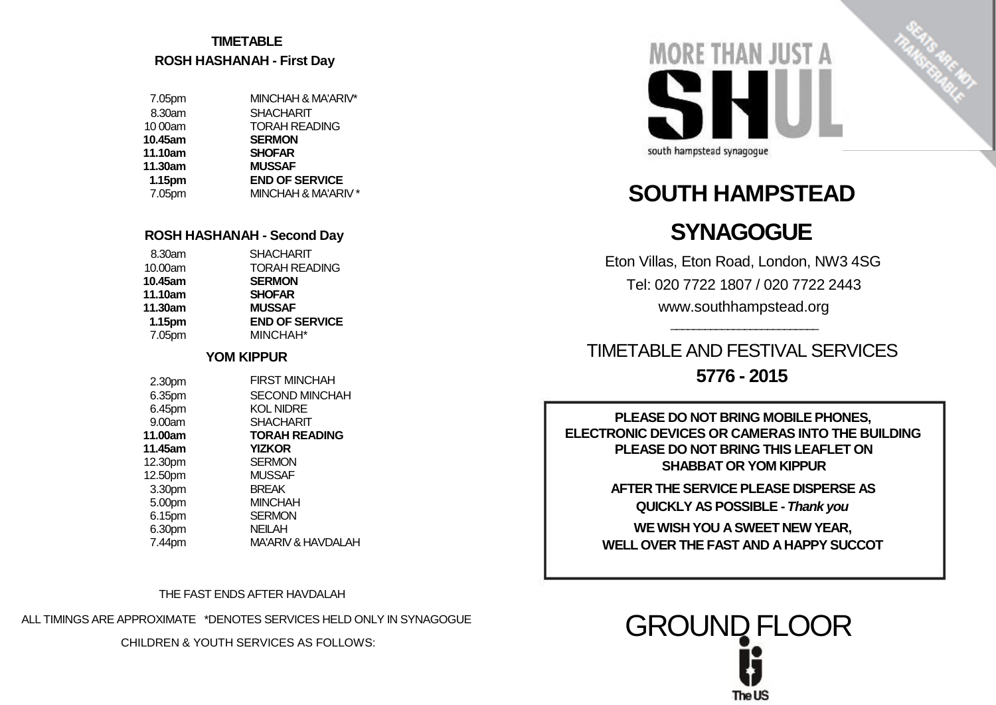## **TIMETABLE ROSH HASHANAH - First Day**

| 7.05pm  | MINCHAH & MA'ARIV*    |
|---------|-----------------------|
| 8.30am  | <b>SHACHARIT</b>      |
| 10 00am | <b>TORAH READING</b>  |
| 10.45am | <b>SERMON</b>         |
| 11.10am | <b>SHOFAR</b>         |
|         |                       |
| 11.30am | <b>MUSSAF</b>         |
| 1.15pm  | <b>END OF SERVICE</b> |
| 7.05pm  | MINCHAH & MA'ARIV *   |

| <b>TORAH READING</b>  |
|-----------------------|
|                       |
|                       |
|                       |
|                       |
| <b>END OF SERVICE</b> |
|                       |
|                       |

#### **YOM KIPPUR**

| 2.30pm  | <b>FIRST MINCHAH</b>          |
|---------|-------------------------------|
| 6.35pm  | <b>SECOND MINCHAH</b>         |
| 6.45pm  | <b>KOL NIDRE</b>              |
| 9.00am  | <b>SHACHARIT</b>              |
| 11.00am | <b>TORAH READING</b>          |
| 11.45am | <b>YIZKOR</b>                 |
| 12.30pm | <b>SERMON</b>                 |
| 12.50pm | <b>MUSSAF</b>                 |
| 3.30pm  | <b>BREAK</b>                  |
| 5.00pm  | <b>MINCHAH</b>                |
| 6.15pm  | <b>SERMON</b>                 |
| 6.30pm  | <b>NEILAH</b>                 |
| 7.44pm  | <b>MA'ARIV &amp; HAVDALAH</b> |

THE FAST ENDS AFTER HAVDALAH

ALL TIMINGS ARE APPROXIMATE \*DENOTES SERVICES HELD ONLY IN SYNAGOGUE

CHILDREN & YOUTH SERVICES AS FOLLOWS:



# **SOUTH HAMPSTEAD**

# **ROSH HASHANAH - Second Day SYNAGOGUE**

Eton Villas, Eton Road, London, NW3 4SG Tel: 020 7722 1807 / 020 7722 2443 www.southhampstead.org

\_\_\_\_\_\_\_\_\_\_\_\_\_\_\_\_\_\_\_\_\_\_\_\_\_\_

TIMETABLE AND FESTIVAL SERVICES **5776 - 2015**

**PLEASE DO NOT BRING MOBILE PHONES, ELECTRONIC DEVICES OR CAMERAS INTO THE BUILDING PLEASE DO NOT BRING THIS LEAFLET ON SHABBAT OR YOM KIPPUR** 

> **AFTER THE SERVICE PLEASE DISPERSE AS QUICKLY AS POSSIBLE -** *Thank you*

**WE WISH YOU A SWEET NEW YEAR, WELL OVER THE FAST AND A HAPPY SUCCOT** 

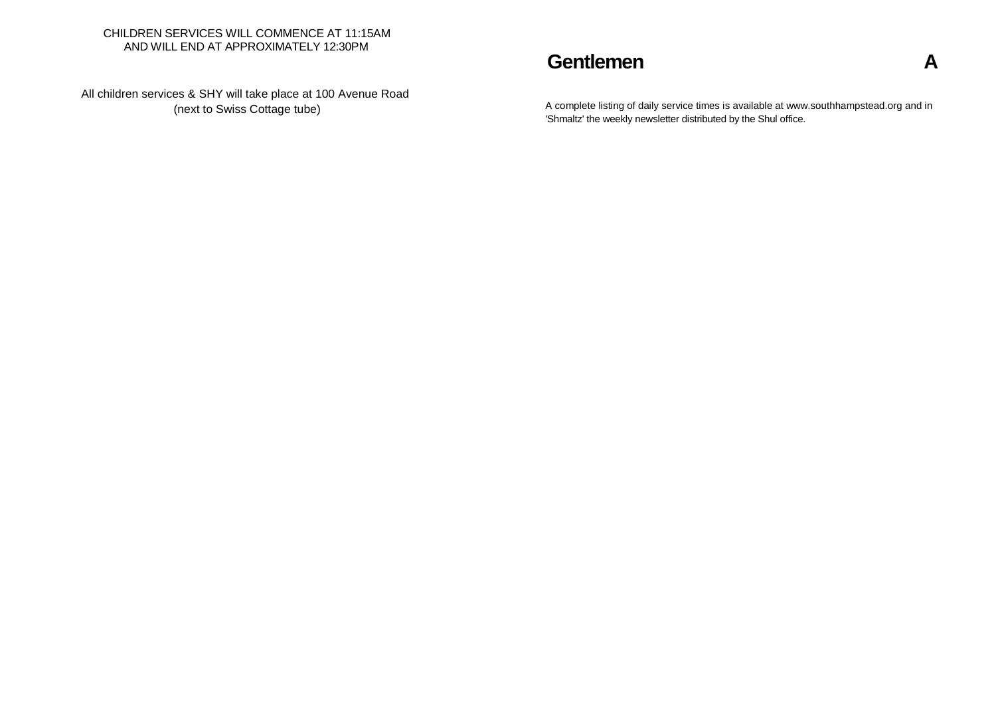#### CHILDREN SERVICES WILL COMMENCE AT 11:15AM AND WILL END AT APPROXIMATELY 12:30PM

All children services & SHY will take place at 100 Avenue Road

# **Gentlemen A**

A complete listing of daily service times is available at www.southhampstead.org and in 'Shmaltz' the weekly newsletter distributed by the Shul office.